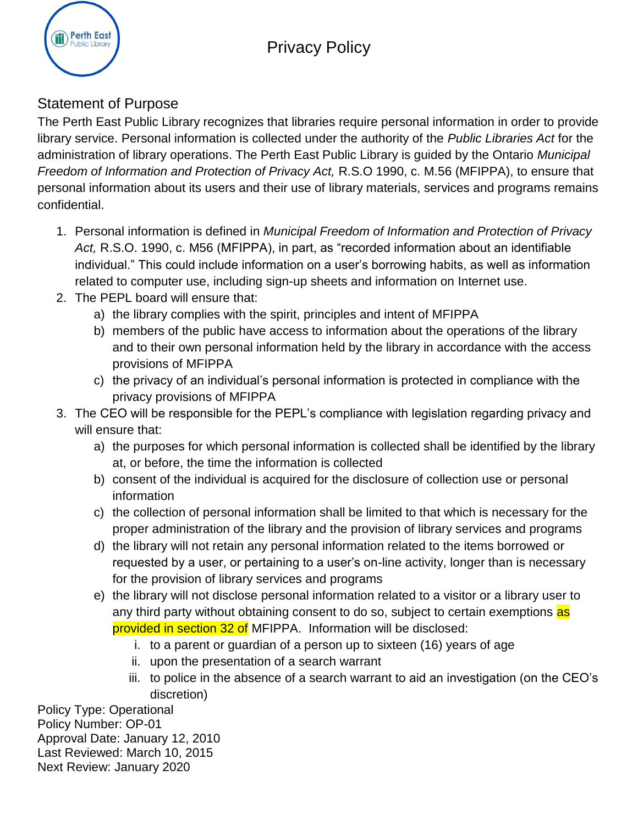## Privacy Policy



## Statement of Purpose

The Perth East Public Library recognizes that libraries require personal information in order to provide library service. Personal information is collected under the authority of the *Public Libraries Act* for the administration of library operations. The Perth East Public Library is guided by the Ontario *Municipal Freedom of Information and Protection of Privacy Act,* R.S.O 1990, c. M.56 (MFIPPA), to ensure that personal information about its users and their use of library materials, services and programs remains confidential.

- 1. Personal information is defined in *Municipal Freedom of Information and Protection of Privacy Act,* R.S.O. 1990, c. M56 (MFIPPA), in part, as "recorded information about an identifiable individual." This could include information on a user's borrowing habits, as well as information related to computer use, including sign-up sheets and information on Internet use.
- 2. The PEPL board will ensure that:
	- a) the library complies with the spirit, principles and intent of MFIPPA
	- b) members of the public have access to information about the operations of the library and to their own personal information held by the library in accordance with the access provisions of MFIPPA
	- c) the privacy of an individual's personal information is protected in compliance with the privacy provisions of MFIPPA
- 3. The CEO will be responsible for the PEPL's compliance with legislation regarding privacy and will ensure that:
	- a) the purposes for which personal information is collected shall be identified by the library at, or before, the time the information is collected
	- b) consent of the individual is acquired for the disclosure of collection use or personal information
	- c) the collection of personal information shall be limited to that which is necessary for the proper administration of the library and the provision of library services and programs
	- d) the library will not retain any personal information related to the items borrowed or requested by a user, or pertaining to a user's on-line activity, longer than is necessary for the provision of library services and programs
	- e) the library will not disclose personal information related to a visitor or a library user to any third party without obtaining consent to do so, subject to certain exemptions as provided in section 32 of MFIPPA. Information will be disclosed:
		- i. to a parent or guardian of a person up to sixteen (16) years of age
		- ii. upon the presentation of a search warrant
		- iii. to police in the absence of a search warrant to aid an investigation (on the CEO's discretion)

Policy Type: Operational Policy Number: OP-01 Approval Date: January 12, 2010 Last Reviewed: March 10, 2015 Next Review: January 2020